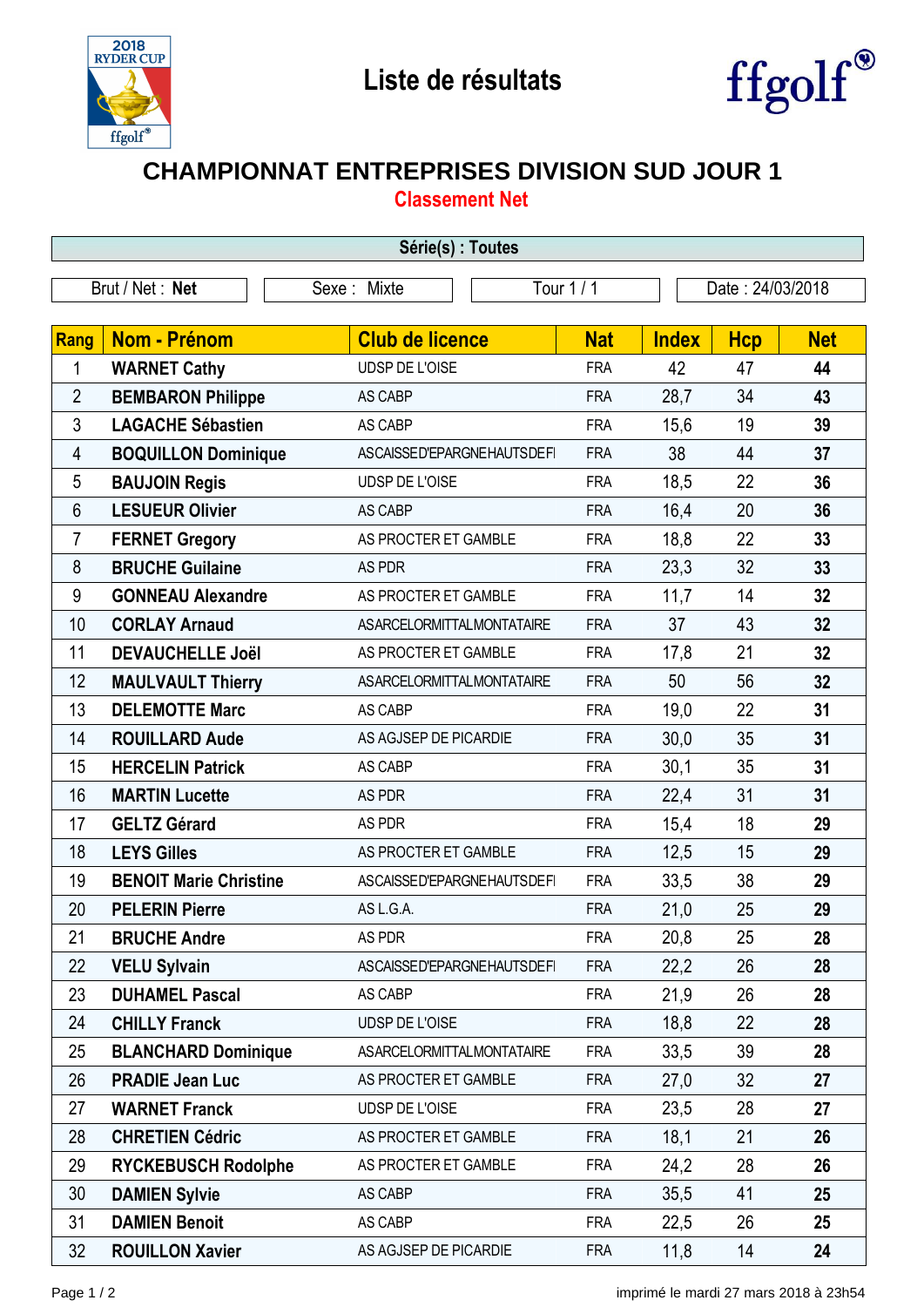



## **CHAMPIONNAT ENTREPRISES DIVISION SUD JOUR 1**

**Classement Net**

| Série(s) : Toutes |                               |                                  |            |              |                  |            |  |  |  |
|-------------------|-------------------------------|----------------------------------|------------|--------------|------------------|------------|--|--|--|
| Brut / Net : Net  |                               | Sexe: Mixte                      | Tour 1 / 1 |              | Date: 24/03/2018 |            |  |  |  |
| <b>Rang</b>       | Nom - Prénom                  | <b>Club de licence</b>           | <b>Nat</b> | <b>Index</b> | <b>Hcp</b>       | <b>Net</b> |  |  |  |
| 1                 | <b>WARNET Cathy</b>           | UDSP DE L'OISE                   | <b>FRA</b> | 42           | 47               | 44         |  |  |  |
| $\overline{2}$    | <b>BEMBARON Philippe</b>      | AS CABP                          | <b>FRA</b> | 28,7         | 34               | 43         |  |  |  |
| 3                 | <b>LAGACHE Sébastien</b>      | AS CABP                          | <b>FRA</b> | 15,6         | 19               | 39         |  |  |  |
| 4                 | <b>BOQUILLON Dominique</b>    | ASCAISSED'EPARGNEHAUTSDEFI       | <b>FRA</b> | 38           | 44               | 37         |  |  |  |
| 5                 | <b>BAUJOIN Regis</b>          | UDSP DE L'OISE                   | <b>FRA</b> | 18,5         | 22               | 36         |  |  |  |
| 6                 | <b>LESUEUR Olivier</b>        | AS CABP                          | <b>FRA</b> | 16,4         | 20               | 36         |  |  |  |
| 7                 | <b>FERNET Gregory</b>         | AS PROCTER ET GAMBLE             | <b>FRA</b> | 18,8         | 22               | 33         |  |  |  |
| 8                 | <b>BRUCHE Guilaine</b>        | AS PDR                           | <b>FRA</b> | 23,3         | 32               | 33         |  |  |  |
| 9                 | <b>GONNEAU Alexandre</b>      | AS PROCTER ET GAMBLE             | <b>FRA</b> | 11,7         | 14               | 32         |  |  |  |
| 10                | <b>CORLAY Arnaud</b>          | <b>ASARCELORMITTALMONTATAIRE</b> | <b>FRA</b> | 37           | 43               | 32         |  |  |  |
| 11                | <b>DEVAUCHELLE Joël</b>       | AS PROCTER ET GAMBLE             | <b>FRA</b> | 17,8         | 21               | 32         |  |  |  |
| 12                | <b>MAULVAULT Thierry</b>      | <b>ASARCELORMITTALMONTATAIRE</b> | <b>FRA</b> | 50           | 56               | 32         |  |  |  |
| 13                | <b>DELEMOTTE Marc</b>         | AS CABP                          | <b>FRA</b> | 19,0         | 22               | 31         |  |  |  |
| 14                | <b>ROUILLARD Aude</b>         | AS AGJSEP DE PICARDIE            | <b>FRA</b> | 30,0         | 35               | 31         |  |  |  |
| 15                | <b>HERCELIN Patrick</b>       | AS CABP                          | <b>FRA</b> | 30,1         | 35               | 31         |  |  |  |
| 16                | <b>MARTIN Lucette</b>         | AS PDR                           | <b>FRA</b> | 22,4         | 31               | 31         |  |  |  |
| 17                | <b>GELTZ Gérard</b>           | AS PDR                           | <b>FRA</b> | 15,4         | 18               | 29         |  |  |  |
| 18                | <b>LEYS Gilles</b>            | AS PROCTER ET GAMBLE             | <b>FRA</b> | 12,5         | 15               | 29         |  |  |  |
| 19                | <b>BENOIT Marie Christine</b> | ASCAISSED'EPARGNEHAUTSDEFI       | <b>FRA</b> | 33,5         | 38               | 29         |  |  |  |
| 20                | <b>PELERIN Pierre</b>         | AS L.G.A.                        | <b>FRA</b> | 21,0         | 25               | 29         |  |  |  |
| 21                | <b>BRUCHE Andre</b>           | AS PDR                           | FRA        | 20,8         | 25               | 28         |  |  |  |
| 22                | <b>VELU Sylvain</b>           | ASCAISSED'EPARGNEHAUTSDEFI       | <b>FRA</b> | 22,2         | 26               | 28         |  |  |  |
| 23                | <b>DUHAMEL Pascal</b>         | AS CABP                          | <b>FRA</b> | 21,9         | 26               | 28         |  |  |  |
| 24                | <b>CHILLY Franck</b>          | UDSP DE L'OISE                   | <b>FRA</b> | 18,8         | 22               | 28         |  |  |  |
| 25                | <b>BLANCHARD Dominique</b>    | <b>ASARCELORMITTALMONTATAIRE</b> | <b>FRA</b> | 33,5         | 39               | 28         |  |  |  |
| 26                | <b>PRADIE Jean Luc</b>        | AS PROCTER ET GAMBLE             | <b>FRA</b> | 27,0         | 32               | 27         |  |  |  |
| 27                | <b>WARNET Franck</b>          | UDSP DE L'OISE                   | <b>FRA</b> | 23,5         | 28               | 27         |  |  |  |
| 28                | <b>CHRETIEN Cédric</b>        | AS PROCTER ET GAMBLE             | <b>FRA</b> | 18,1         | 21               | 26         |  |  |  |
| 29                | <b>RYCKEBUSCH Rodolphe</b>    | AS PROCTER ET GAMBLE             | <b>FRA</b> | 24,2         | 28               | 26         |  |  |  |
| 30                | <b>DAMIEN Sylvie</b>          | AS CABP                          | <b>FRA</b> | 35,5         | 41               | 25         |  |  |  |
| 31                | <b>DAMIEN Benoit</b>          | AS CABP                          | <b>FRA</b> | 22,5         | 26               | 25         |  |  |  |
| 32                | <b>ROUILLON Xavier</b>        | AS AGJSEP DE PICARDIE            | <b>FRA</b> | 11,8         | 14               | 24         |  |  |  |